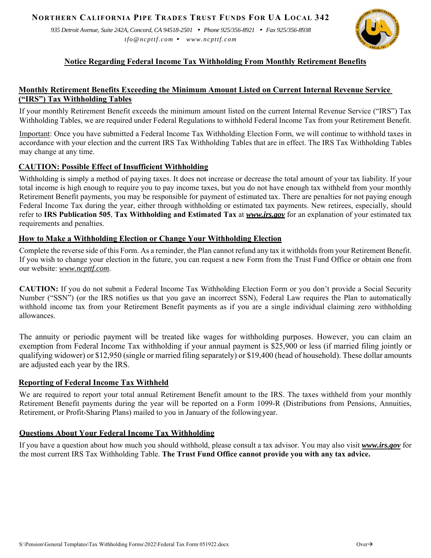*935 Detroit Avenue, Suite 242A, Concord, CA 94518-2501 Phone 925/356-8921 Fax 925/356-8938 tfo@ncpttf.com www.ncpttf.com*



# **Notice Regarding Federal Income Tax Withholding From Monthly Retirement Benefits**

# **Monthly Retirement Benefits Exceeding the Minimum Amount Listed on Current Internal Revenue Service ("IRS") Tax Withholding Tables**

If your monthly Retirement Benefit exceeds the minimum amount listed on the current Internal Revenue Service ("IRS") Tax Withholding Tables, we are required under Federal Regulations to withhold Federal Income Tax from your Retirement Benefit.

Important: Once you have submitted a Federal Income Tax Withholding Election Form, we will continue to withhold taxes in accordance with your election and the current IRS Tax Withholding Tables that are in effect. The IRS Tax Withholding Tables may change at any time.

## **CAUTION: Possible Effect of Insufficient Withholding**

Withholding is simply a method of paying taxes. It does not increase or decrease the total amount of your tax liability. If your total income is high enough to require you to pay income taxes, but you do not have enough tax withheld from your monthly Retirement Benefit payments, you may be responsible for payment of estimated tax. There are penalties for not paying enough Federal Income Tax during the year, either through withholding or estimated tax payments. New retirees, especially, should refer to **IRS Publication 505**, **Tax Withholding and Estimated Tax** at *www.irs.gov* for an explanation of your estimated tax requirements and penalties.

## **How to Make a Withholding Election or Change Your Withholding Election**

Complete the reverse side of this Form. As a reminder, the Plan cannot refund any tax it withholds from your Retirement Benefit. If you wish to change your election in the future, you can request a new Form from the Trust Fund Office or obtain one from our website: *www.ncpttf.com*.

**CAUTION:** If you do not submit a Federal Income Tax Withholding Election Form or you don't provide a Social Security Number ("SSN") (or the IRS notifies us that you gave an incorrect SSN), Federal Law requires the Plan to automatically withhold income tax from your Retirement Benefit payments as if you are a single individual claiming zero withholding allowances.

The annuity or periodic payment will be treated like wages for withholding purposes. However, you can claim an exemption from Federal Income Tax withholding if your annual payment is \$25,900 or less (if married filing jointly or qualifying widower) or \$12,950 (single or married filing separately) or \$19,400 (head of household). These dollar amounts are adjusted each year by the IRS.

## **Reporting of Federal Income Tax Withheld**

We are required to report your total annual Retirement Benefit amount to the IRS. The taxes withheld from your monthly Retirement Benefit payments during the year will be reported on a Form 1099-R (Distributions from Pensions, Annuities, Retirement, or Profit-Sharing Plans) mailed to you in January of the following year.

## **Questions About Your Federal Income Tax Withholding**

If you have a question about how much you should withhold, please consult a tax advisor. You may also visit *www.irs.gov* for the most current IRS Tax Withholding Table. **The Trust Fund Office cannot provide you with any tax advice.**